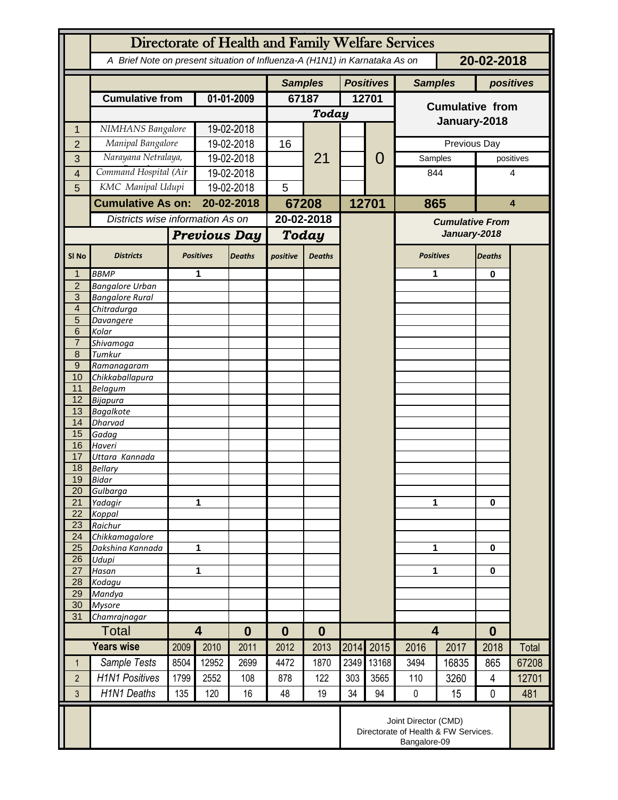|                     | Directorate of Health and Family Welfare Services                                        |                     |                                     |               |                |               |       |                                    |                                        |              |                |           |  |
|---------------------|------------------------------------------------------------------------------------------|---------------------|-------------------------------------|---------------|----------------|---------------|-------|------------------------------------|----------------------------------------|--------------|----------------|-----------|--|
|                     | A Brief Note on present situation of Influenza-A (H1N1) in Karnataka As on<br>20-02-2018 |                     |                                     |               |                |               |       |                                    |                                        |              |                |           |  |
|                     |                                                                                          |                     |                                     |               | <b>Samples</b> |               |       | <b>Positives</b><br><b>Samples</b> |                                        |              | positives      |           |  |
|                     | <b>Cumulative from</b>                                                                   |                     | 01-01-2009                          |               | 67187          |               | 12701 |                                    | <b>Cumulative from</b>                 |              |                |           |  |
|                     |                                                                                          |                     |                                     |               | <b>Today</b>   |               |       |                                    |                                        |              |                |           |  |
| 1                   | NIMHANS Bangalore                                                                        |                     | 19-02-2018                          |               |                |               |       |                                    | January-2018                           |              |                |           |  |
| $\overline{2}$      | Manipal Bangalore                                                                        |                     | 19-02-2018                          |               | 16             |               |       |                                    |                                        | Previous Day |                |           |  |
| 3                   | Narayana Netralaya,                                                                      |                     | 19-02-2018                          |               |                | 21            |       | 0                                  | Samples                                |              |                | positives |  |
| 4                   | Command Hospital (Air                                                                    |                     | 19-02-2018                          |               |                |               |       |                                    | 844                                    |              | 4              |           |  |
| 5                   | KMC Manipal Udupi                                                                        |                     | 19-02-2018                          |               | 5              |               |       |                                    |                                        |              |                |           |  |
|                     | <b>Cumulative As on:</b><br>Districts wise information As on                             |                     | 20-02-2018                          |               | 67208          |               |       | 12701                              | 865                                    |              | 4              |           |  |
|                     |                                                                                          |                     |                                     |               | 20-02-2018     |               |       |                                    | <b>Cumulative From</b><br>January-2018 |              |                |           |  |
|                     |                                                                                          | <b>Previous Day</b> |                                     | Today         |                |               |       |                                    |                                        |              |                |           |  |
|                     |                                                                                          |                     |                                     |               |                |               |       |                                    |                                        |              |                |           |  |
| SI <sub>No</sub>    | <b>Districts</b>                                                                         |                     | <b>Positives</b>                    | <b>Deaths</b> | positive       | <b>Deaths</b> |       |                                    | <b>Positives</b>                       |              | <b>Deaths</b>  |           |  |
| 1                   | <b>BBMP</b>                                                                              |                     | 1                                   |               |                |               |       |                                    | 1                                      |              | 0              |           |  |
| $\overline{2}$<br>3 | <b>Bangalore Urban</b><br><b>Bangalore Rural</b>                                         |                     |                                     |               |                |               |       |                                    |                                        |              |                |           |  |
| $\overline{4}$      | Chitradurga                                                                              |                     |                                     |               |                |               |       |                                    |                                        |              |                |           |  |
| 5                   | Davangere                                                                                |                     |                                     |               |                |               |       |                                    |                                        |              |                |           |  |
| 6                   | Kolar                                                                                    |                     |                                     |               |                |               |       |                                    |                                        |              |                |           |  |
| $\overline{7}$      | Shivamoga                                                                                |                     |                                     |               |                |               |       |                                    |                                        |              |                |           |  |
| 8                   | Tumkur                                                                                   |                     |                                     |               |                |               |       |                                    |                                        |              |                |           |  |
| $9\,$<br>10         | Ramanagaram<br>Chikkaballapura                                                           |                     |                                     |               |                |               |       |                                    |                                        |              |                |           |  |
| 11                  | <b>Belagum</b>                                                                           |                     |                                     |               |                |               |       |                                    |                                        |              |                |           |  |
| 12                  | Bijapura                                                                                 |                     |                                     |               |                |               |       |                                    |                                        |              |                |           |  |
| 13                  | <b>Bagalkote</b>                                                                         |                     |                                     |               |                |               |       |                                    |                                        |              |                |           |  |
| 14                  | Dharvad                                                                                  |                     |                                     |               |                |               |       |                                    |                                        |              |                |           |  |
| 15<br>16            | Gadag<br>Haveri                                                                          |                     |                                     |               |                |               |       |                                    |                                        |              |                |           |  |
| 17                  | Uttara Kannada                                                                           |                     |                                     |               |                |               |       |                                    |                                        |              |                |           |  |
| 18                  | <b>Bellary</b>                                                                           |                     |                                     |               |                |               |       |                                    |                                        |              |                |           |  |
| 19                  | Bidar                                                                                    |                     |                                     |               |                |               |       |                                    |                                        |              |                |           |  |
| 20                  | Gulbarga                                                                                 |                     |                                     |               |                |               |       |                                    |                                        |              |                |           |  |
| 21<br>22            | Yadagir                                                                                  |                     | 1                                   |               |                |               |       |                                    | 1                                      |              | $\bf{0}$       |           |  |
| 23                  | Koppal<br>Raichur                                                                        |                     |                                     |               |                |               |       |                                    |                                        |              |                |           |  |
| 24                  | Chikkamagalore                                                                           |                     |                                     |               |                |               |       |                                    |                                        |              |                |           |  |
| 25                  | Dakshina Kannada                                                                         | 1                   |                                     |               |                |               |       |                                    | 1                                      |              | 0              |           |  |
| 26                  | Udupi                                                                                    |                     |                                     |               |                |               |       |                                    |                                        |              |                |           |  |
| 27<br>28            | Hasan<br>Kodagu                                                                          | 1                   |                                     |               |                |               |       |                                    | 1                                      |              | 0              |           |  |
| 29                  | Mandya                                                                                   |                     |                                     |               |                |               |       |                                    |                                        |              |                |           |  |
| 30                  | <b>Mysore</b>                                                                            |                     |                                     |               |                |               |       |                                    |                                        |              |                |           |  |
| 31                  | Chamrajnagar                                                                             |                     |                                     |               |                |               |       |                                    |                                        |              |                |           |  |
|                     | <b>Total</b>                                                                             |                     | $\overline{\mathbf{4}}$<br>$\bf{0}$ |               | 0              | $\bf{0}$      |       |                                    | $\overline{\mathbf{4}}$                |              | $\bf{0}$       |           |  |
|                     | <b>Years wise</b>                                                                        | 2009                | 2010                                | 2011          | 2012           | 2013          | 2014  | 2015                               | 2016                                   | 2017         | 2018           | Total     |  |
| $\mathbf{1}$        | Sample Tests                                                                             | 8504                | 12952                               | 2699          | 4472           | 1870          | 2349  | 13168                              | 3494                                   | 16835        | 865            | 67208     |  |
| $\overline{2}$      | <b>H1N1 Positives</b>                                                                    | 1799                | 2552                                | 108           | 878            | 122           | 303   | 3565                               | 110                                    | 3260         | $\overline{4}$ | 12701     |  |
| $\overline{3}$      | <b>H1N1 Deaths</b>                                                                       | 135                 | 120                                 | 16            | 48             | 19            | 34    | 94                                 | $\pmb{0}$                              | 15           | 0              | 481       |  |
|                     | Joint Director (CMD)<br>Directorate of Health & FW Services.<br>Bangalore-09             |                     |                                     |               |                |               |       |                                    |                                        |              |                |           |  |